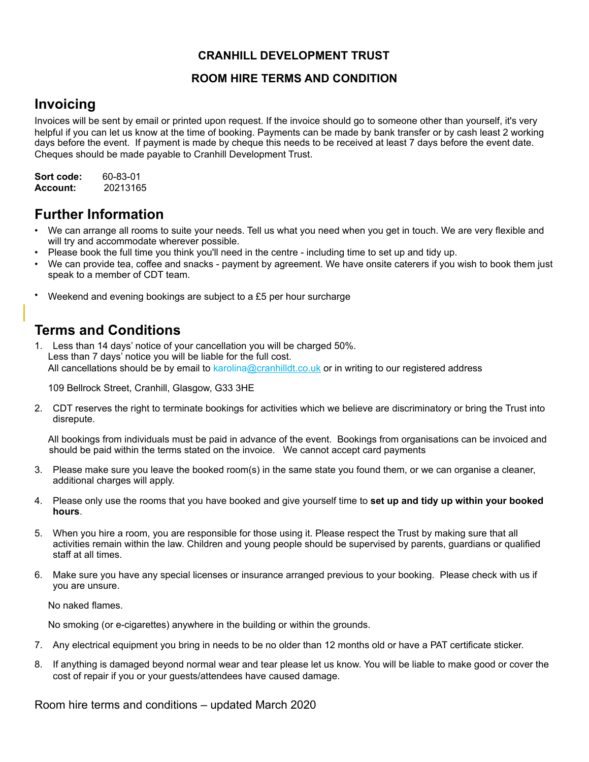## **CRANHILL DEVELOPMENT TRUST**

### **ROOM HIRE TERMS AND CONDITION**

# **Invoicing**

Invoices will be sent by email or printed upon request. If the invoice should go to someone other than yourself, it's very helpful if you can let us know at the time of booking. Payments can be made by bank transfer or by cash least 2 working days before the event. If payment is made by cheque this needs to be received at least 7 days before the event date. Cheques should be made payable to Cranhill Development Trust.

**Sort code:** 60-83-01 **Account:** 20213165

## **Further Information**

- We can arrange all rooms to suite your needs. Tell us what you need when you get in touch. We are very flexible and will try and accommodate wherever possible.
- Please book the full time you think you'll need in the centre including time to set up and tidy up.
- We can provide tea, coffee and snacks payment by agreement. We have onsite caterers if you wish to book them just speak to a member of CDT team.
- Weekend and evening bookings are subject to a £5 per hour surcharge

# **Terms and Conditions**

1. Less than 14 days' notice of your cancellation you will be charged 50%. Less than 7 days' notice you will be liable for the full cost. All cancellations should be by email to karolina@cranhilldt.co.uk or in writing to our registered address

109 Bellrock Street, Cranhill, Glasgow, G33 3HE

2. CDT reserves the right to terminate bookings for activities which we believe are discriminatory or bring the Trust into disrepute.

All bookings from individuals must be paid in advance of the event. Bookings from organisations can be invoiced and should be paid within the terms stated on the invoice. We cannot accept card payments

- 3. Please make sure you leave the booked room(s) in the same state you found them, or we can organise a cleaner, additional charges will apply.
- 4. Please only use the rooms that you have booked and give yourself time to **set up and tidy up within your booked hours**.
- 5. When you hire a room, you are responsible for those using it. Please respect the Trust by making sure that all activities remain within the law. Children and young people should be supervised by parents, guardians or qualified staff at all times.
- 6. Make sure you have any special licenses or insurance arranged previous to your booking. Please check with us if you are unsure.

No naked flames.

No smoking (or e-cigarettes) anywhere in the building or within the grounds.

- 7. Any electrical equipment you bring in needs to be no older than 12 months old or have a PAT certificate sticker.
- 8. If anything is damaged beyond normal wear and tear please let us know. You will be liable to make good or cover the cost of repair if you or your guests/attendees have caused damage.

Room hire terms and conditions – updated March 2020